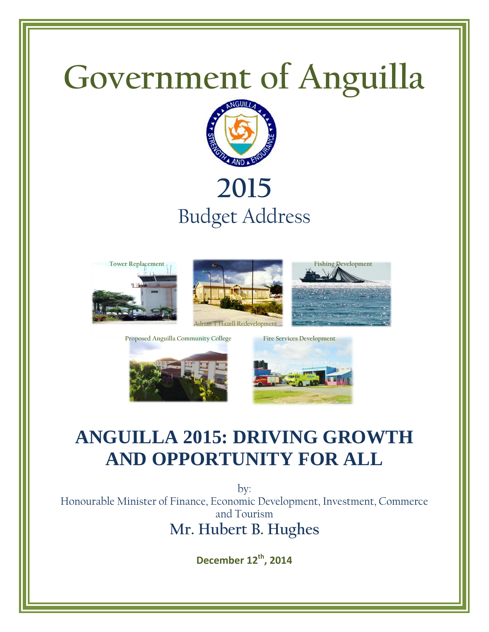# **Government of Anguilla**



## **2015** Budget Address







Proposed Anguilla Community College Fire Services Development





### **ANGUILLA 2015: DRIVING GROWTH AND OPPORTUNITY FOR ALL**

by: Honourable Minister of Finance, Economic Development, Investment, Commerce and Tourism **Mr. Hubert B. Hughes**

**December 12th, 2014**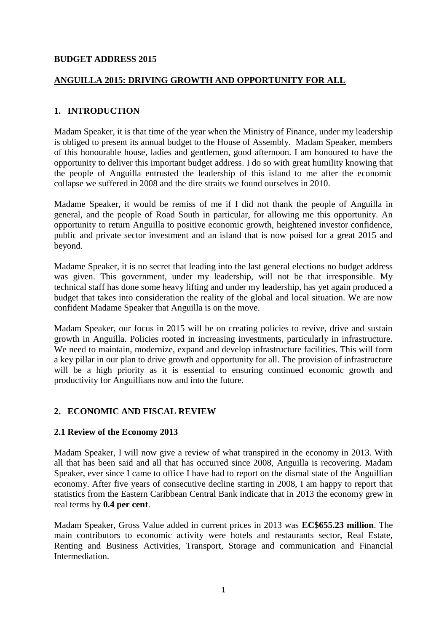#### **BUDGET ADDRESS 2015**

#### **ANGUILLA 2015: DRIVING GROWTH AND OPPORTUNITY FOR ALL**

#### **1. INTRODUCTION**

Madam Speaker, it is that time of the year when the Ministry of Finance, under my leadership is obliged to present its annual budget to the House of Assembly. Madam Speaker, members of this honourable house, ladies and gentlemen, good afternoon. I am honoured to have the opportunity to deliver this important budget address. I do so with great humility knowing that the people of Anguilla entrusted the leadership of this island to me after the economic collapse we suffered in 2008 and the dire straits we found ourselves in 2010.

Madame Speaker, it would be remiss of me if I did not thank the people of Anguilla in general, and the people of Road South in particular, for allowing me this opportunity. An opportunity to return Anguilla to positive economic growth, heightened investor confidence, public and private sector investment and an island that is now poised for a great 2015 and beyond.

Madame Speaker, it is no secret that leading into the last general elections no budget address was given. This government, under my leadership, will not be that irresponsible. My technical staff has done some heavy lifting and under my leadership, has yet again produced a budget that takes into consideration the reality of the global and local situation. We are now confident Madame Speaker that Anguilla is on the move.

Madam Speaker, our focus in 2015 will be on creating policies to revive, drive and sustain growth in Anguilla. Policies rooted in increasing investments, particularly in infrastructure. We need to maintain, modernize, expand and develop infrastructure facilities. This will form a key pillar in our plan to drive growth and opportunity for all. The provision of infrastructure will be a high priority as it is essential to ensuring continued economic growth and productivity for Anguillians now and into the future.

#### **2. ECONOMIC AND FISCAL REVIEW**

#### **2.1 Review of the Economy 2013**

Madam Speaker, I will now give a review of what transpired in the economy in 2013. With all that has been said and all that has occurred since 2008, Anguilla is recovering. Madam Speaker, ever since I came to office I have had to report on the dismal state of the Anguillian economy. After five years of consecutive decline starting in 2008, I am happy to report that statistics from the Eastern Caribbean Central Bank indicate that in 2013 the economy grew in real terms by **0.4 per cent**.

Madam Speaker, Gross Value added in current prices in 2013 was **EC\$655.23 million**. The main contributors to economic activity were hotels and restaurants sector, Real Estate, Renting and Business Activities, Transport, Storage and communication and Financial Intermediation.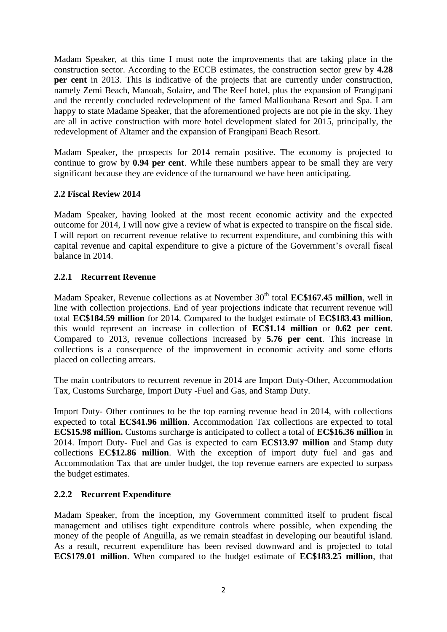Madam Speaker, at this time I must note the improvements that are taking place in the construction sector. According to the ECCB estimates, the construction sector grew by **4.28 per cent** in 2013. This is indicative of the projects that are currently under construction, namely Zemi Beach, Manoah, Solaire, and The Reef hotel, plus the expansion of Frangipani and the recently concluded redevelopment of the famed Malliouhana Resort and Spa. I am happy to state Madame Speaker, that the aforementioned projects are not pie in the sky. They are all in active construction with more hotel development slated for 2015, principally, the redevelopment of Altamer and the expansion of Frangipani Beach Resort.

Madam Speaker, the prospects for 2014 remain positive. The economy is projected to continue to grow by **0.94 per cent**. While these numbers appear to be small they are very significant because they are evidence of the turnaround we have been anticipating.

#### **2.2 Fiscal Review 2014**

Madam Speaker, having looked at the most recent economic activity and the expected outcome for 2014, I will now give a review of what is expected to transpire on the fiscal side. I will report on recurrent revenue relative to recurrent expenditure, and combining this with capital revenue and capital expenditure to give a picture of the Government's overall fiscal balance in 2014.

#### **2.2.1 Recurrent Revenue**

Madam Speaker, Revenue collections as at November 30<sup>th</sup> total **EC\$167.45 million**, well in line with collection projections. End of year projections indicate that recurrent revenue will total **EC\$184.59 million** for 2014. Compared to the budget estimate of **EC\$183.43 million**, this would represent an increase in collection of **EC\$1.14 million** or **0.62 per cent**. Compared to 2013, revenue collections increased by **5.76 per cent**. This increase in collections is a consequence of the improvement in economic activity and some efforts placed on collecting arrears.

The main contributors to recurrent revenue in 2014 are Import Duty-Other, Accommodation Tax, Customs Surcharge, Import Duty -Fuel and Gas, and Stamp Duty.

Import Duty- Other continues to be the top earning revenue head in 2014, with collections expected to total **EC\$41.96 million**. Accommodation Tax collections are expected to total **EC\$15.98 million.** Customs surcharge is anticipated to collect a total of **EC\$16.36 million** in 2014. Import Duty- Fuel and Gas is expected to earn **EC\$13.97 million** and Stamp duty collections **EC\$12.86 million**. With the exception of import duty fuel and gas and Accommodation Tax that are under budget, the top revenue earners are expected to surpass the budget estimates.

#### **2.2.2 Recurrent Expenditure**

Madam Speaker, from the inception, my Government committed itself to prudent fiscal management and utilises tight expenditure controls where possible, when expending the money of the people of Anguilla, as we remain steadfast in developing our beautiful island. As a result, recurrent expenditure has been revised downward and is projected to total **EC\$179.01 million**. When compared to the budget estimate of **EC\$183.25 million**, that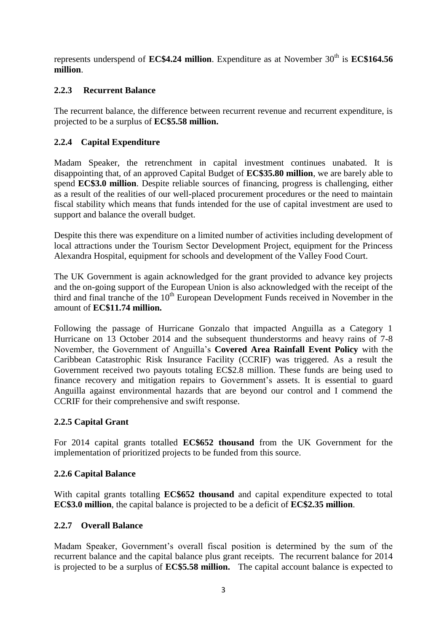represents underspend of **EC\$4.24 million**. Expenditure as at November  $30<sup>th</sup>$  is **EC\$164.56 million**.

#### **2.2.3 Recurrent Balance**

The recurrent balance, the difference between recurrent revenue and recurrent expenditure, is projected to be a surplus of **EC\$5.58 million.**

#### **2.2.4 Capital Expenditure**

Madam Speaker, the retrenchment in capital investment continues unabated. It is disappointing that, of an approved Capital Budget of **EC\$35.80 million**, we are barely able to spend **EC\$3.0 million**. Despite reliable sources of financing, progress is challenging, either as a result of the realities of our well-placed procurement procedures or the need to maintain fiscal stability which means that funds intended for the use of capital investment are used to support and balance the overall budget.

Despite this there was expenditure on a limited number of activities including development of local attractions under the Tourism Sector Development Project, equipment for the Princess Alexandra Hospital, equipment for schools and development of the Valley Food Court.

The UK Government is again acknowledged for the grant provided to advance key projects and the on-going support of the European Union is also acknowledged with the receipt of the third and final tranche of the  $10<sup>th</sup>$  European Development Funds received in November in the amount of **EC\$11.74 million.**

Following the passage of Hurricane Gonzalo that impacted Anguilla as a Category 1 Hurricane on 13 October 2014 and the subsequent thunderstorms and heavy rains of 7-8 November, the Government of Anguilla's **Covered Area Rainfall Event Policy** with the Caribbean Catastrophic Risk Insurance Facility (CCRIF) was triggered. As a result the Government received two payouts totaling EC\$2.8 million. These funds are being used to finance recovery and mitigation repairs to Government's assets. It is essential to guard Anguilla against environmental hazards that are beyond our control and I commend the CCRIF for their comprehensive and swift response.

#### **2.2.5 Capital Grant**

For 2014 capital grants totalled **EC\$652 thousand** from the UK Government for the implementation of prioritized projects to be funded from this source.

#### **2.2.6 Capital Balance**

With capital grants totalling **EC\$652 thousand** and capital expenditure expected to total **EC\$3.0 million**, the capital balance is projected to be a deficit of **EC\$2.35 million**.

#### **2.2.7 Overall Balance**

Madam Speaker, Government's overall fiscal position is determined by the sum of the recurrent balance and the capital balance plus grant receipts. The recurrent balance for 2014 is projected to be a surplus of **EC\$5.58 million.** The capital account balance is expected to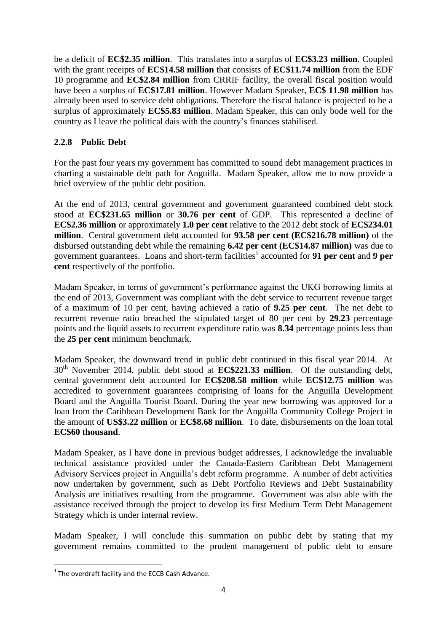be a deficit of **EC\$2.35 million**. This translates into a surplus of **EC\$3.23 million**. Coupled with the grant receipts of **EC\$14.58 million** that consists of **EC\$11.74 million** from the EDF 10 programme and **EC\$2.84 million** from CRRIF facility, the overall fiscal position would have been a surplus of **EC\$17.81 million**. However Madam Speaker, **EC\$ 11.98 million** has already been used to service debt obligations. Therefore the fiscal balance is projected to be a surplus of approximately **EC\$5.83 million**. Madam Speaker, this can only bode well for the country as I leave the political dais with the country's finances stabilised.

#### **2.2.8 Public Debt**

For the past four years my government has committed to sound debt management practices in charting a sustainable debt path for Anguilla. Madam Speaker, allow me to now provide a brief overview of the public debt position.

At the end of 2013, central government and government guaranteed combined debt stock stood at **EC\$231.65 million** or **30.76 per cent** of GDP. This represented a decline of **EC\$2.36 million** or approximately **1.0 per cent** relative to the 2012 debt stock of **EC\$234.01 million**. Central government debt accounted for **93.58 per cent (EC\$216.78 million)** of the disbursed outstanding debt while the remaining **6.42 per cent (EC\$14.87 million)** was due to government guarantees. Loans and short-term facilities<sup>1</sup> accounted for 91 per cent and 9 per **cent** respectively of the portfolio.

Madam Speaker, in terms of government's performance against the UKG borrowing limits at the end of 2013, Government was compliant with the debt service to recurrent revenue target of a maximum of 10 per cent, having achieved a ratio of **9.25 per cent**. The net debt to recurrent revenue ratio breached the stipulated target of 80 per cent by **29.23** percentage points and the liquid assets to recurrent expenditure ratio was **8.34** percentage points less than the **25 per cent** minimum benchmark.

Madam Speaker, the downward trend in public debt continued in this fiscal year 2014. At 30th November 2014, public debt stood at **EC\$221.33 million**. Of the outstanding debt, central government debt accounted for **EC\$208.58 million** while **EC\$12.75 million** was accredited to government guarantees comprising of loans for the Anguilla Development Board and the Anguilla Tourist Board. During the year new borrowing was approved for a loan from the Caribbean Development Bank for the Anguilla Community College Project in the amount of **US\$3.22 million** or **EC\$8.68 million**. To date, disbursements on the loan total **EC\$60 thousand**.

Madam Speaker, as I have done in previous budget addresses, I acknowledge the invaluable technical assistance provided under the Canada-Eastern Caribbean Debt Management Advisory Services project in Anguilla's debt reform programme. A number of debt activities now undertaken by government, such as Debt Portfolio Reviews and Debt Sustainability Analysis are initiatives resulting from the programme. Government was also able with the assistance received through the project to develop its first Medium Term Debt Management Strategy which is under internal review.

Madam Speaker, I will conclude this summation on public debt by stating that my government remains committed to the prudent management of public debt to ensure

**.** 

 $1$  The overdraft facility and the ECCB Cash Advance.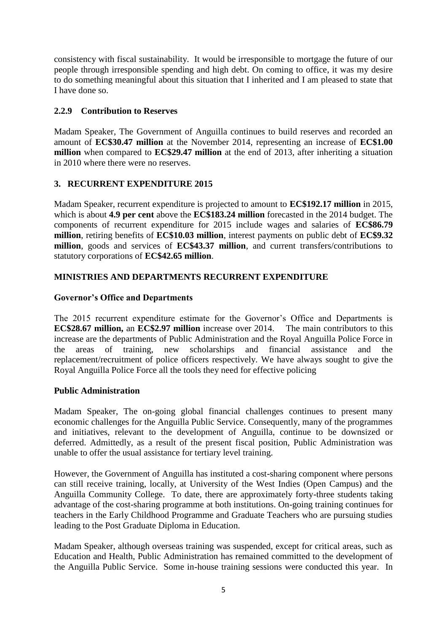consistency with fiscal sustainability. It would be irresponsible to mortgage the future of our people through irresponsible spending and high debt. On coming to office, it was my desire to do something meaningful about this situation that I inherited and I am pleased to state that I have done so.

#### **2.2.9 Contribution to Reserves**

Madam Speaker, The Government of Anguilla continues to build reserves and recorded an amount of **EC\$30.47 million** at the November 2014, representing an increase of **EC\$1.00 million** when compared to **EC\$29.47 million** at the end of 2013, after inheriting a situation in 2010 where there were no reserves.

#### **3. RECURRENT EXPENDITURE 2015**

Madam Speaker, recurrent expenditure is projected to amount to **EC\$192.17 million** in 2015, which is about **4.9 per cent** above the **EC\$183.24 million** forecasted in the 2014 budget. The components of recurrent expenditure for 2015 include wages and salaries of **EC\$86.79 million**, retiring benefits of **EC\$10.03 million**, interest payments on public debt of **EC\$9.32 million**, goods and services of **EC\$43.37 million**, and current transfers/contributions to statutory corporations of **EC\$42.65 million**.

#### **MINISTRIES AND DEPARTMENTS RECURRENT EXPENDITURE**

#### **Governor's Office and Departments**

The 2015 recurrent expenditure estimate for the Governor's Office and Departments is **EC\$28.67 million,** an **EC\$2.97 million** increase over 2014. The main contributors to this increase are the departments of Public Administration and the Royal Anguilla Police Force in the areas of training, new scholarships and financial assistance and the replacement/recruitment of police officers respectively. We have always sought to give the Royal Anguilla Police Force all the tools they need for effective policing

#### **Public Administration**

Madam Speaker, The on-going global financial challenges continues to present many economic challenges for the Anguilla Public Service. Consequently, many of the programmes and initiatives, relevant to the development of Anguilla, continue to be downsized or deferred. Admittedly, as a result of the present fiscal position, Public Administration was unable to offer the usual assistance for tertiary level training.

However, the Government of Anguilla has instituted a cost-sharing component where persons can still receive training, locally, at University of the West Indies (Open Campus) and the Anguilla Community College. To date, there are approximately forty-three students taking advantage of the cost-sharing programme at both institutions. On-going training continues for teachers in the Early Childhood Programme and Graduate Teachers who are pursuing studies leading to the Post Graduate Diploma in Education.

Madam Speaker, although overseas training was suspended, except for critical areas, such as Education and Health, Public Administration has remained committed to the development of the Anguilla Public Service. Some in-house training sessions were conducted this year*.* In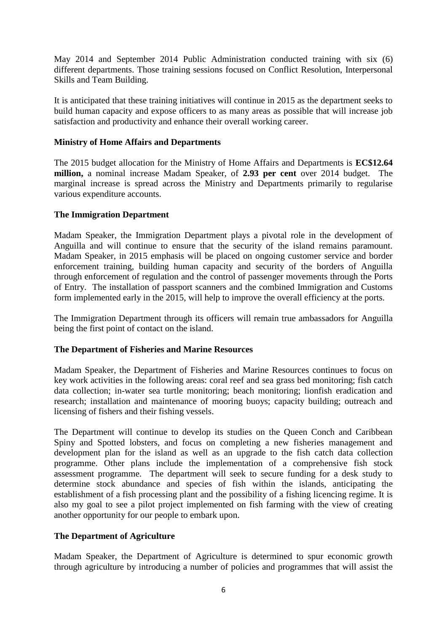May 2014 and September 2014 Public Administration conducted training with six (6) different departments. Those training sessions focused on Conflict Resolution, Interpersonal Skills and Team Building.

It is anticipated that these training initiatives will continue in 2015 as the department seeks to build human capacity and expose officers to as many areas as possible that will increase job satisfaction and productivity and enhance their overall working career.

#### **Ministry of Home Affairs and Departments**

The 2015 budget allocation for the Ministry of Home Affairs and Departments is **EC\$12.64 million,** a nominal increase Madam Speaker, of **2.93 per cent** over 2014 budget. The marginal increase is spread across the Ministry and Departments primarily to regularise various expenditure accounts.

#### **The Immigration Department**

Madam Speaker, the Immigration Department plays a pivotal role in the development of Anguilla and will continue to ensure that the security of the island remains paramount. Madam Speaker, in 2015 emphasis will be placed on ongoing customer service and border enforcement training, building human capacity and security of the borders of Anguilla through enforcement of regulation and the control of passenger movements through the Ports of Entry. The installation of passport scanners and the combined Immigration and Customs form implemented early in the 2015, will help to improve the overall efficiency at the ports.

The Immigration Department through its officers will remain true ambassadors for Anguilla being the first point of contact on the island.

#### **The Department of Fisheries and Marine Resources**

Madam Speaker, the Department of Fisheries and Marine Resources continues to focus on key work activities in the following areas: coral reef and sea grass bed monitoring; fish catch data collection; in-water sea turtle monitoring; beach monitoring; lionfish eradication and research; installation and maintenance of mooring buoys; capacity building; outreach and licensing of fishers and their fishing vessels.

The Department will continue to develop its studies on the Queen Conch and Caribbean Spiny and Spotted lobsters, and focus on completing a new fisheries management and development plan for the island as well as an upgrade to the fish catch data collection programme. Other plans include the implementation of a comprehensive fish stock assessment programme. The department will seek to secure funding for a desk study to determine stock abundance and species of fish within the islands, anticipating the establishment of a fish processing plant and the possibility of a fishing licencing regime. It is also my goal to see a pilot project implemented on fish farming with the view of creating another opportunity for our people to embark upon.

#### **The Department of Agriculture**

Madam Speaker, the Department of Agriculture is determined to spur economic growth through agriculture by introducing a number of policies and programmes that will assist the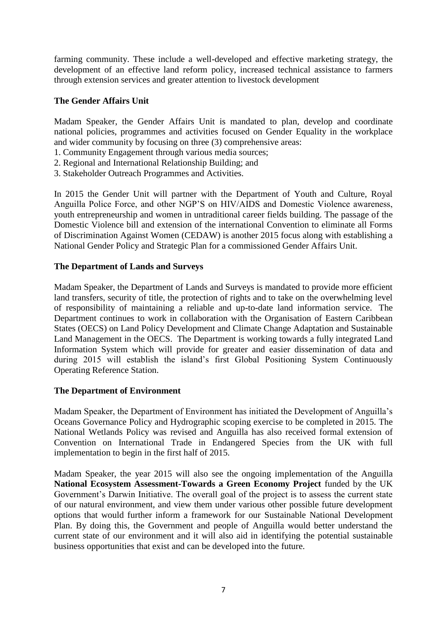farming community. These include a well-developed and effective marketing strategy, the development of an effective land reform policy, increased technical assistance to farmers through extension services and greater attention to livestock development

#### **The Gender Affairs Unit**

Madam Speaker, the Gender Affairs Unit is mandated to plan, develop and coordinate national policies, programmes and activities focused on Gender Equality in the workplace and wider community by focusing on three (3) comprehensive areas:

- 1. Community Engagement through various media sources;
- 2. Regional and International Relationship Building; and
- 3. Stakeholder Outreach Programmes and Activities.

In 2015 the Gender Unit will partner with the Department of Youth and Culture, Royal Anguilla Police Force, and other NGP'S on HIV/AIDS and Domestic Violence awareness, youth entrepreneurship and women in untraditional career fields building. The passage of the Domestic Violence bill and extension of the international Convention to eliminate all Forms of Discrimination Against Women (CEDAW) is another 2015 focus along with establishing a National Gender Policy and Strategic Plan for a commissioned Gender Affairs Unit.

#### **The Department of Lands and Surveys**

Madam Speaker, the Department of Lands and Surveys is mandated to provide more efficient land transfers, security of title, the protection of rights and to take on the overwhelming level of responsibility of maintaining a reliable and up-to-date land information service. The Department continues to work in collaboration with the Organisation of Eastern Caribbean States (OECS) on Land Policy Development and Climate Change Adaptation and Sustainable Land Management in the OECS. The Department is working towards a fully integrated Land Information System which will provide for greater and easier dissemination of data and during 2015 will establish the island's first Global Positioning System Continuously Operating Reference Station.

#### **The Department of Environment**

Madam Speaker, the Department of Environment has initiated the Development of Anguilla's Oceans Governance Policy and Hydrographic scoping exercise to be completed in 2015. The National Wetlands Policy was revised and Anguilla has also received formal extension of Convention on International Trade in Endangered Species from the UK with full implementation to begin in the first half of 2015.

Madam Speaker, the year 2015 will also see the ongoing implementation of the Anguilla **National Ecosystem Assessment-Towards a Green Economy Project** funded by the UK Government's Darwin Initiative. The overall goal of the project is to assess the current state of our natural environment, and view them under various other possible future development options that would further inform a framework for our Sustainable National Development Plan. By doing this, the Government and people of Anguilla would better understand the current state of our environment and it will also aid in identifying the potential sustainable business opportunities that exist and can be developed into the future.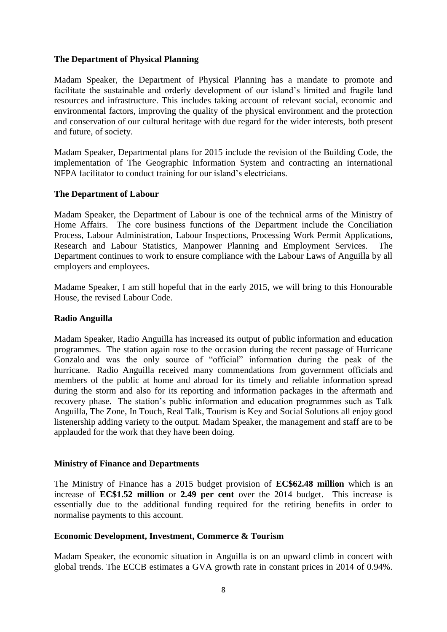#### **The Department of Physical Planning**

Madam Speaker, the Department of Physical Planning has a mandate to promote and facilitate the sustainable and orderly development of our island's limited and fragile land resources and infrastructure. This includes taking account of relevant social, economic and environmental factors, improving the quality of the physical environment and the protection and conservation of our cultural heritage with due regard for the wider interests, both present and future, of society.

Madam Speaker, Departmental plans for 2015 include the revision of the Building Code, the implementation of The Geographic Information System and contracting an international NFPA facilitator to conduct training for our island's electricians.

#### **The Department of Labour**

Madam Speaker, the Department of Labour is one of the technical arms of the Ministry of Home Affairs. The core business functions of the Department include the Conciliation Process, Labour Administration, Labour Inspections, Processing Work Permit Applications, Research and Labour Statistics, Manpower Planning and Employment Services. The Department continues to work to ensure compliance with the Labour Laws of Anguilla by all employers and employees.

Madame Speaker, I am still hopeful that in the early 2015, we will bring to this Honourable House, the revised Labour Code.

#### **Radio Anguilla**

Madam Speaker, Radio Anguilla has increased its output of public information and education programmes. The station again rose to the occasion during the recent passage of Hurricane Gonzalo and was the only source of "official" information during the peak of the hurricane. Radio Anguilla received many commendations from government officials and members of the public at home and abroad for its timely and reliable information spread during the storm and also for its reporting and information packages in the aftermath and recovery phase. The station's public information and education programmes such as Talk Anguilla, The Zone, In Touch, Real Talk, Tourism is Key and Social Solutions all enjoy good listenership adding variety to the output. Madam Speaker, the management and staff are to be applauded for the work that they have been doing.

#### **Ministry of Finance and Departments**

The Ministry of Finance has a 2015 budget provision of **EC\$62.48 million** which is an increase of **EC\$1.52 million** or **2.49 per cent** over the 2014 budget. This increase is essentially due to the additional funding required for the retiring benefits in order to normalise payments to this account.

#### **Economic Development, Investment, Commerce & Tourism**

Madam Speaker, the economic situation in Anguilla is on an upward climb in concert with global trends. The ECCB estimates a GVA growth rate in constant prices in 2014 of 0.94%.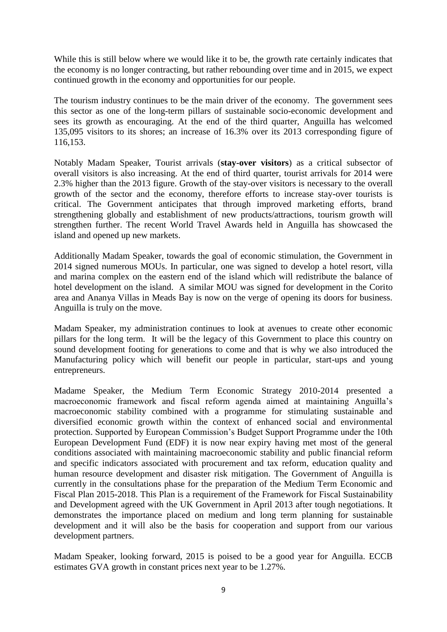While this is still below where we would like it to be, the growth rate certainly indicates that the economy is no longer contracting, but rather rebounding over time and in 2015, we expect continued growth in the economy and opportunities for our people.

The tourism industry continues to be the main driver of the economy. The government sees this sector as one of the long-term pillars of sustainable socio-economic development and sees its growth as encouraging. At the end of the third quarter, Anguilla has welcomed 135,095 visitors to its shores; an increase of 16.3% over its 2013 corresponding figure of 116,153.

Notably Madam Speaker, Tourist arrivals (**stay-over visitors**) as a critical subsector of overall visitors is also increasing. At the end of third quarter, tourist arrivals for 2014 were 2.3% higher than the 2013 figure. Growth of the stay-over visitors is necessary to the overall growth of the sector and the economy, therefore efforts to increase stay-over tourists is critical. The Government anticipates that through improved marketing efforts, brand strengthening globally and establishment of new products/attractions, tourism growth will strengthen further. The recent World Travel Awards held in Anguilla has showcased the island and opened up new markets.

Additionally Madam Speaker, towards the goal of economic stimulation, the Government in 2014 signed numerous MOUs. In particular, one was signed to develop a hotel resort, villa and marina complex on the eastern end of the island which will redistribute the balance of hotel development on the island. A similar MOU was signed for development in the Corito area and Ananya Villas in Meads Bay is now on the verge of opening its doors for business. Anguilla is truly on the move.

Madam Speaker, my administration continues to look at avenues to create other economic pillars for the long term. It will be the legacy of this Government to place this country on sound development footing for generations to come and that is why we also introduced the Manufacturing policy which will benefit our people in particular, start-ups and young entrepreneurs.

Madame Speaker, the Medium Term Economic Strategy 2010-2014 presented a macroeconomic framework and fiscal reform agenda aimed at maintaining Anguilla's macroeconomic stability combined with a programme for stimulating sustainable and diversified economic growth within the context of enhanced social and environmental protection. Supported by European Commission's Budget Support Programme under the 10th European Development Fund (EDF) it is now near expiry having met most of the general conditions associated with maintaining macroeconomic stability and public financial reform and specific indicators associated with procurement and tax reform, education quality and human resource development and disaster risk mitigation. The Government of Anguilla is currently in the consultations phase for the preparation of the Medium Term Economic and Fiscal Plan 2015-2018. This Plan is a requirement of the Framework for Fiscal Sustainability and Development agreed with the UK Government in April 2013 after tough negotiations. It demonstrates the importance placed on medium and long term planning for sustainable development and it will also be the basis for cooperation and support from our various development partners.

Madam Speaker, looking forward, 2015 is poised to be a good year for Anguilla. ECCB estimates GVA growth in constant prices next year to be 1.27%.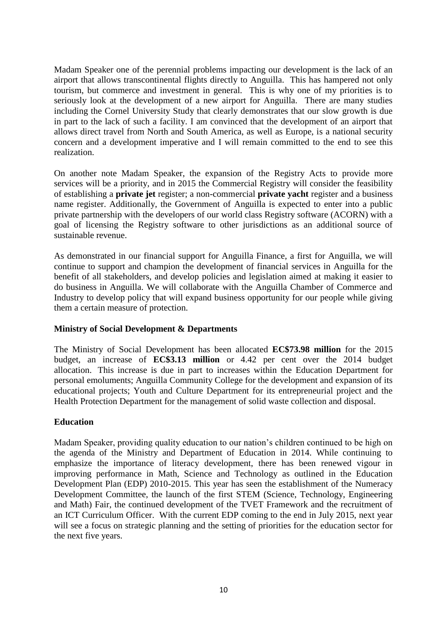Madam Speaker one of the perennial problems impacting our development is the lack of an airport that allows transcontinental flights directly to Anguilla. This has hampered not only tourism, but commerce and investment in general. This is why one of my priorities is to seriously look at the development of a new airport for Anguilla. There are many studies including the Cornel University Study that clearly demonstrates that our slow growth is due in part to the lack of such a facility. I am convinced that the development of an airport that allows direct travel from North and South America, as well as Europe, is a national security concern and a development imperative and I will remain committed to the end to see this realization.

On another note Madam Speaker, the expansion of the Registry Acts to provide more services will be a priority, and in 2015 the Commercial Registry will consider the feasibility of establishing a **private jet** register; a non-commercial **private yacht** register and a business name register. Additionally, the Government of Anguilla is expected to enter into a public private partnership with the developers of our world class Registry software (ACORN) with a goal of licensing the Registry software to other jurisdictions as an additional source of sustainable revenue.

As demonstrated in our financial support for Anguilla Finance, a first for Anguilla, we will continue to support and champion the development of financial services in Anguilla for the benefit of all stakeholders, and develop policies and legislation aimed at making it easier to do business in Anguilla. We will collaborate with the Anguilla Chamber of Commerce and Industry to develop policy that will expand business opportunity for our people while giving them a certain measure of protection.

#### **Ministry of Social Development & Departments**

The Ministry of Social Development has been allocated **EC\$73.98 million** for the 2015 budget, an increase of **EC\$3.13 million** or 4.42 per cent over the 2014 budget allocation. This increase is due in part to increases within the Education Department for personal emoluments; Anguilla Community College for the development and expansion of its educational projects; Youth and Culture Department for its entrepreneurial project and the Health Protection Department for the management of solid waste collection and disposal.

#### **Education**

Madam Speaker, providing quality education to our nation's children continued to be high on the agenda of the Ministry and Department of Education in 2014. While continuing to emphasize the importance of literacy development, there has been renewed vigour in improving performance in Math, Science and Technology as outlined in the Education Development Plan (EDP) 2010-2015. This year has seen the establishment of the Numeracy Development Committee, the launch of the first STEM (Science, Technology, Engineering and Math) Fair, the continued development of the TVET Framework and the recruitment of an ICT Curriculum Officer. With the current EDP coming to the end in July 2015, next year will see a focus on strategic planning and the setting of priorities for the education sector for the next five years.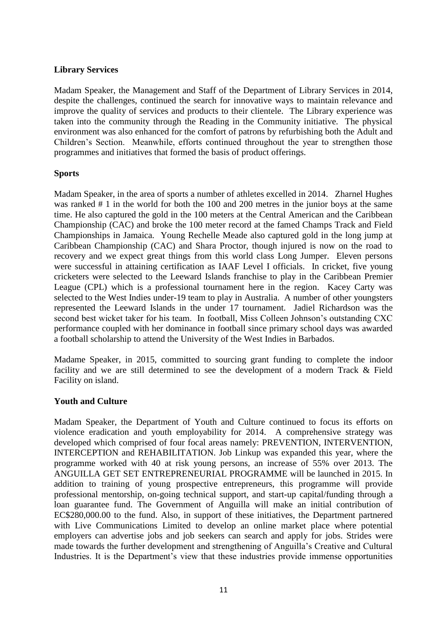#### **Library Services**

Madam Speaker, the Management and Staff of the Department of Library Services in 2014, despite the challenges, continued the search for innovative ways to maintain relevance and improve the quality of services and products to their clientele. The Library experience was taken into the community through the Reading in the Community initiative. The physical environment was also enhanced for the comfort of patrons by refurbishing both the Adult and Children's Section. Meanwhile, efforts continued throughout the year to strengthen those programmes and initiatives that formed the basis of product offerings.

#### **Sports**

Madam Speaker, in the area of sports a number of athletes excelled in 2014. Zharnel Hughes was ranked # 1 in the world for both the 100 and 200 metres in the junior boys at the same time. He also captured the gold in the 100 meters at the Central American and the Caribbean Championship (CAC) and broke the 100 meter record at the famed Champs Track and Field Championships in Jamaica. Young Rechelle Meade also captured gold in the long jump at Caribbean Championship (CAC) and Shara Proctor, though injured is now on the road to recovery and we expect great things from this world class Long Jumper. Eleven persons were successful in attaining certification as IAAF Level I officials. In cricket, five young cricketers were selected to the Leeward Islands franchise to play in the Caribbean Premier League (CPL) which is a professional tournament here in the region. Kacey Carty was selected to the West Indies under-19 team to play in Australia. A number of other youngsters represented the Leeward Islands in the under 17 tournament. Jadiel Richardson was the second best wicket taker for his team. In football, Miss Colleen Johnson's outstanding CXC performance coupled with her dominance in football since primary school days was awarded a football scholarship to attend the University of the West Indies in Barbados.

Madame Speaker, in 2015, committed to sourcing grant funding to complete the indoor facility and we are still determined to see the development of a modern Track & Field Facility on island.

#### **Youth and Culture**

Madam Speaker, the Department of Youth and Culture continued to focus its efforts on violence eradication and youth employability for 2014. A comprehensive strategy was developed which comprised of four focal areas namely: PREVENTION, INTERVENTION, INTERCEPTION and REHABILITATION. Job Linkup was expanded this year, where the programme worked with 40 at risk young persons, an increase of 55% over 2013. The ANGUILLA GET SET ENTREPRENEURIAL PROGRAMME will be launched in 2015. In addition to training of young prospective entrepreneurs, this programme will provide professional mentorship, on-going technical support, and start-up capital/funding through a loan guarantee fund. The Government of Anguilla will make an initial contribution of EC\$280,000.00 to the fund. Also, in support of these initiatives, the Department partnered with Live Communications Limited to develop an online market place where potential employers can advertise jobs and job seekers can search and apply for jobs. Strides were made towards the further development and strengthening of Anguilla's Creative and Cultural Industries. It is the Department's view that these industries provide immense opportunities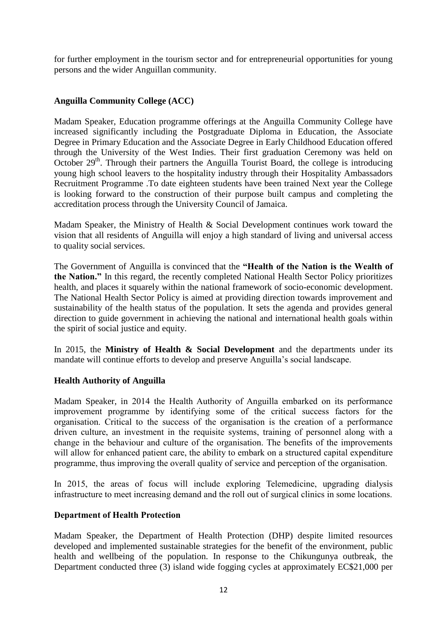for further employment in the tourism sector and for entrepreneurial opportunities for young persons and the wider Anguillan community.

#### **Anguilla Community College (ACC)**

Madam Speaker, Education programme offerings at the Anguilla Community College have increased significantly including the Postgraduate Diploma in Education, the Associate Degree in Primary Education and the Associate Degree in Early Childhood Education offered through the University of the West Indies. Their first graduation Ceremony was held on October  $29<sup>th</sup>$ . Through their partners the Anguilla Tourist Board, the college is introducing young high school leavers to the hospitality industry through their Hospitality Ambassadors Recruitment Programme .To date eighteen students have been trained Next year the College is looking forward to the construction of their purpose built campus and completing the accreditation process through the University Council of Jamaica.

Madam Speaker, the Ministry of Health & Social Development continues work toward the vision that all residents of Anguilla will enjoy a high standard of living and universal access to quality social services.

The Government of Anguilla is convinced that the **"Health of the Nation is the Wealth of the Nation."** In this regard, the recently completed National Health Sector Policy prioritizes health, and places it squarely within the national framework of socio-economic development. The National Health Sector Policy is aimed at providing direction towards improvement and sustainability of the health status of the population. It sets the agenda and provides general direction to guide government in achieving the national and international health goals within the spirit of social justice and equity.

In 2015, the **Ministry of Health & Social Development** and the departments under its mandate will continue efforts to develop and preserve Anguilla's social landscape.

#### **Health Authority of Anguilla**

Madam Speaker, in 2014 the Health Authority of Anguilla embarked on its performance improvement programme by identifying some of the critical success factors for the organisation. Critical to the success of the organisation is the creation of a performance driven culture, an investment in the requisite systems, training of personnel along with a change in the behaviour and culture of the organisation. The benefits of the improvements will allow for enhanced patient care, the ability to embark on a structured capital expenditure programme, thus improving the overall quality of service and perception of the organisation.

In 2015, the areas of focus will include exploring Telemedicine, upgrading dialysis infrastructure to meet increasing demand and the roll out of surgical clinics in some locations.

#### **Department of Health Protection**

Madam Speaker, the Department of Health Protection (DHP) despite limited resources developed and implemented sustainable strategies for the benefit of the environment, public health and wellbeing of the population. In response to the Chikungunya outbreak, the Department conducted three (3) island wide fogging cycles at approximately EC\$21,000 per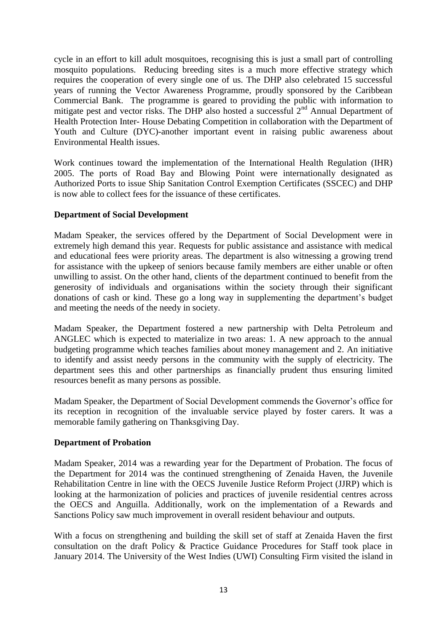cycle in an effort to kill adult mosquitoes, recognising this is just a small part of controlling mosquito populations. Reducing breeding sites is a much more effective strategy which requires the cooperation of every single one of us. The DHP also celebrated 15 successful years of running the Vector Awareness Programme, proudly sponsored by the Caribbean Commercial Bank. The programme is geared to providing the public with information to mitigate pest and vector risks. The DHP also hosted a successful  $2<sup>nd</sup>$  Annual Department of Health Protection Inter- House Debating Competition in collaboration with the Department of Youth and Culture (DYC)-another important event in raising public awareness about Environmental Health issues.

Work continues toward the implementation of the International Health Regulation (IHR) 2005. The ports of Road Bay and Blowing Point were internationally designated as Authorized Ports to issue Ship Sanitation Control Exemption Certificates (SSCEC) and DHP is now able to collect fees for the issuance of these certificates.

#### **Department of Social Development**

Madam Speaker, the services offered by the Department of Social Development were in extremely high demand this year. Requests for public assistance and assistance with medical and educational fees were priority areas. The department is also witnessing a growing trend for assistance with the upkeep of seniors because family members are either unable or often unwilling to assist. On the other hand, clients of the department continued to benefit from the generosity of individuals and organisations within the society through their significant donations of cash or kind. These go a long way in supplementing the department's budget and meeting the needs of the needy in society.

Madam Speaker, the Department fostered a new partnership with Delta Petroleum and ANGLEC which is expected to materialize in two areas: 1. A new approach to the annual budgeting programme which teaches families about money management and 2. An initiative to identify and assist needy persons in the community with the supply of electricity. The department sees this and other partnerships as financially prudent thus ensuring limited resources benefit as many persons as possible.

Madam Speaker, the Department of Social Development commends the Governor's office for its reception in recognition of the invaluable service played by foster carers. It was a memorable family gathering on Thanksgiving Day.

#### **Department of Probation**

Madam Speaker, 2014 was a rewarding year for the Department of Probation. The focus of the Department for 2014 was the continued strengthening of Zenaida Haven, the Juvenile Rehabilitation Centre in line with the OECS Juvenile Justice Reform Project (JJRP) which is looking at the harmonization of policies and practices of juvenile residential centres across the OECS and Anguilla. Additionally, work on the implementation of a Rewards and Sanctions Policy saw much improvement in overall resident behaviour and outputs.

With a focus on strengthening and building the skill set of staff at Zenaida Haven the first consultation on the draft Policy & Practice Guidance Procedures for Staff took place in January 2014. The University of the West Indies (UWI) Consulting Firm visited the island in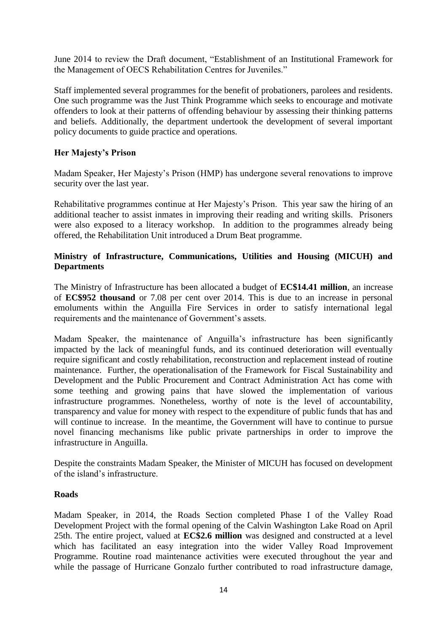June 2014 to review the Draft document, "Establishment of an Institutional Framework for the Management of OECS Rehabilitation Centres for Juveniles."

Staff implemented several programmes for the benefit of probationers, parolees and residents. One such programme was the Just Think Programme which seeks to encourage and motivate offenders to look at their patterns of offending behaviour by assessing their thinking patterns and beliefs. Additionally, the department undertook the development of several important policy documents to guide practice and operations.

#### **Her Majesty's Prison**

Madam Speaker, Her Majesty's Prison (HMP) has undergone several renovations to improve security over the last year.

Rehabilitative programmes continue at Her Majesty's Prison. This year saw the hiring of an additional teacher to assist inmates in improving their reading and writing skills. Prisoners were also exposed to a literacy workshop. In addition to the programmes already being offered, the Rehabilitation Unit introduced a Drum Beat programme.

#### **Ministry of Infrastructure, Communications, Utilities and Housing (MICUH) and Departments**

The Ministry of Infrastructure has been allocated a budget of **EC\$14.41 million**, an increase of **EC\$952 thousand** or 7.08 per cent over 2014. This is due to an increase in personal emoluments within the Anguilla Fire Services in order to satisfy international legal requirements and the maintenance of Government's assets.

Madam Speaker, the maintenance of Anguilla's infrastructure has been significantly impacted by the lack of meaningful funds, and its continued deterioration will eventually require significant and costly rehabilitation, reconstruction and replacement instead of routine maintenance. Further, the operationalisation of the Framework for Fiscal Sustainability and Development and the Public Procurement and Contract Administration Act has come with some teething and growing pains that have slowed the implementation of various infrastructure programmes. Nonetheless, worthy of note is the level of accountability, transparency and value for money with respect to the expenditure of public funds that has and will continue to increase. In the meantime, the Government will have to continue to pursue novel financing mechanisms like public private partnerships in order to improve the infrastructure in Anguilla.

Despite the constraints Madam Speaker, the Minister of MICUH has focused on development of the island's infrastructure.

#### **Roads**

Madam Speaker, in 2014, the Roads Section completed Phase I of the Valley Road Development Project with the formal opening of the Calvin Washington Lake Road on April 25th. The entire project, valued at **EC\$2.6 million** was designed and constructed at a level which has facilitated an easy integration into the wider Valley Road Improvement Programme. Routine road maintenance activities were executed throughout the year and while the passage of Hurricane Gonzalo further contributed to road infrastructure damage,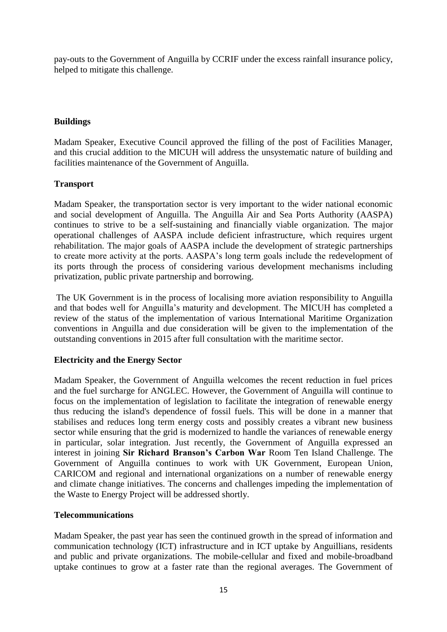pay-outs to the Government of Anguilla by CCRIF under the excess rainfall insurance policy, helped to mitigate this challenge.

#### **Buildings**

Madam Speaker, Executive Council approved the filling of the post of Facilities Manager, and this crucial addition to the MICUH will address the unsystematic nature of building and facilities maintenance of the Government of Anguilla.

#### **Transport**

Madam Speaker, the transportation sector is very important to the wider national economic and social development of Anguilla. The Anguilla Air and Sea Ports Authority (AASPA) continues to strive to be a self-sustaining and financially viable organization. The major operational challenges of AASPA include deficient infrastructure, which requires urgent rehabilitation. The major goals of AASPA include the development of strategic partnerships to create more activity at the ports. AASPA's long term goals include the redevelopment of its ports through the process of considering various development mechanisms including privatization, public private partnership and borrowing.

The UK Government is in the process of localising more aviation responsibility to Anguilla and that bodes well for Anguilla's maturity and development. The MICUH has completed a review of the status of the implementation of various International Maritime Organization conventions in Anguilla and due consideration will be given to the implementation of the outstanding conventions in 2015 after full consultation with the maritime sector.

#### **Electricity and the Energy Sector**

Madam Speaker, the Government of Anguilla welcomes the recent reduction in fuel prices and the fuel surcharge for ANGLEC. However, the Government of Anguilla will continue to focus on the implementation of legislation to facilitate the integration of renewable energy thus reducing the island's dependence of fossil fuels. This will be done in a manner that stabilises and reduces long term energy costs and possibly creates a vibrant new business sector while ensuring that the grid is modernized to handle the variances of renewable energy in particular, solar integration. Just recently, the Government of Anguilla expressed an interest in joining **Sir Richard Branson's Carbon War** Room Ten Island Challenge. The Government of Anguilla continues to work with UK Government, European Union, CARICOM and regional and international organizations on a number of renewable energy and climate change initiatives. The concerns and challenges impeding the implementation of the Waste to Energy Project will be addressed shortly.

#### **Telecommunications**

Madam Speaker, the past year has seen the continued growth in the spread of information and communication technology (ICT) infrastructure and in ICT uptake by Anguillians, residents and public and private organizations. The mobile-cellular and fixed and mobile-broadband uptake continues to grow at a faster rate than the regional averages. The Government of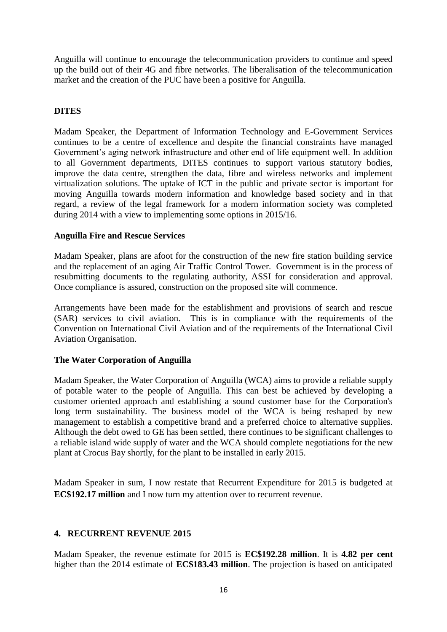Anguilla will continue to encourage the telecommunication providers to continue and speed up the build out of their 4G and fibre networks. The liberalisation of the telecommunication market and the creation of the PUC have been a positive for Anguilla.

#### **DITES**

Madam Speaker, the Department of Information Technology and E-Government Services continues to be a centre of excellence and despite the financial constraints have managed Government's aging network infrastructure and other end of life equipment well. In addition to all Government departments, DITES continues to support various statutory bodies, improve the data centre, strengthen the data, fibre and wireless networks and implement virtualization solutions. The uptake of ICT in the public and private sector is important for moving Anguilla towards modern information and knowledge based society and in that regard, a review of the legal framework for a modern information society was completed during 2014 with a view to implementing some options in 2015/16.

#### **Anguilla Fire and Rescue Services**

Madam Speaker, plans are afoot for the construction of the new fire station building service and the replacement of an aging Air Traffic Control Tower. Government is in the process of resubmitting documents to the regulating authority, ASSI for consideration and approval. Once compliance is assured, construction on the proposed site will commence.

Arrangements have been made for the establishment and provisions of search and rescue (SAR) services to civil aviation. This is in compliance with the requirements of the Convention on International Civil Aviation and of the requirements of the International Civil Aviation Organisation.

#### **The Water Corporation of Anguilla**

Madam Speaker, the Water Corporation of Anguilla (WCA) aims to provide a reliable supply of potable water to the people of Anguilla. This can best be achieved by developing a customer oriented approach and establishing a sound customer base for the Corporation's long term sustainability. The business model of the WCA is being reshaped by new management to establish a competitive brand and a preferred choice to alternative supplies. Although the debt owed to GE has been settled, there continues to be significant challenges to a reliable island wide supply of water and the WCA should complete negotiations for the new plant at Crocus Bay shortly, for the plant to be installed in early 2015.

Madam Speaker in sum, I now restate that Recurrent Expenditure for 2015 is budgeted at **EC\$192.17 million** and I now turn my attention over to recurrent revenue.

#### **4. RECURRENT REVENUE 2015**

Madam Speaker, the revenue estimate for 2015 is **EC\$192.28 million**. It is **4.82 per cent** higher than the 2014 estimate of **EC\$183.43 million**. The projection is based on anticipated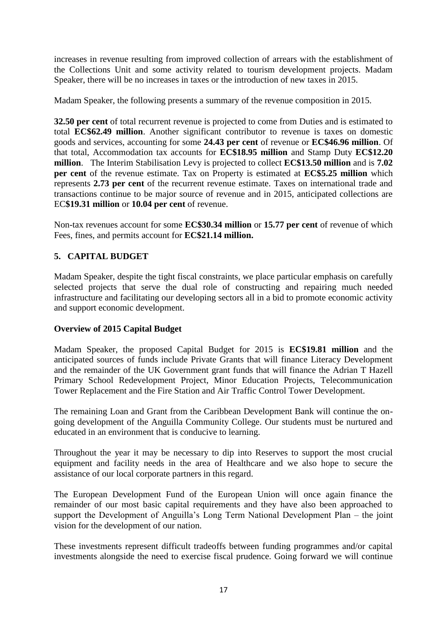increases in revenue resulting from improved collection of arrears with the establishment of the Collections Unit and some activity related to tourism development projects. Madam Speaker, there will be no increases in taxes or the introduction of new taxes in 2015.

Madam Speaker, the following presents a summary of the revenue composition in 2015.

**32.50 per cent** of total recurrent revenue is projected to come from Duties and is estimated to total **EC\$62.49 million**. Another significant contributor to revenue is taxes on domestic goods and services, accounting for some **24.43 per cent** of revenue or **EC\$46.96 million**. Of that total, Accommodation tax accounts for **EC\$18.95 million** and Stamp Duty **EC\$12.20 million**. The Interim Stabilisation Levy is projected to collect **EC\$13.50 million** and is **7.02 per cent** of the revenue estimate. Tax on Property is estimated at **EC\$5.25 million** which represents **2.73 per cent** of the recurrent revenue estimate. Taxes on international trade and transactions continue to be major source of revenue and in 2015, anticipated collections are EC**\$19.31 million** or **10.04 per cent** of revenue.

Non-tax revenues account for some **EC\$30.34 million** or **15.77 per cent** of revenue of which Fees, fines, and permits account for **EC\$21.14 million.**

#### **5. CAPITAL BUDGET**

Madam Speaker, despite the tight fiscal constraints, we place particular emphasis on carefully selected projects that serve the dual role of constructing and repairing much needed infrastructure and facilitating our developing sectors all in a bid to promote economic activity and support economic development.

#### **Overview of 2015 Capital Budget**

Madam Speaker, the proposed Capital Budget for 2015 is **EC\$19.81 million** and the anticipated sources of funds include Private Grants that will finance Literacy Development and the remainder of the UK Government grant funds that will finance the Adrian T Hazell Primary School Redevelopment Project, Minor Education Projects, Telecommunication Tower Replacement and the Fire Station and Air Traffic Control Tower Development.

The remaining Loan and Grant from the Caribbean Development Bank will continue the ongoing development of the Anguilla Community College. Our students must be nurtured and educated in an environment that is conducive to learning.

Throughout the year it may be necessary to dip into Reserves to support the most crucial equipment and facility needs in the area of Healthcare and we also hope to secure the assistance of our local corporate partners in this regard.

The European Development Fund of the European Union will once again finance the remainder of our most basic capital requirements and they have also been approached to support the Development of Anguilla's Long Term National Development Plan – the joint vision for the development of our nation.

These investments represent difficult tradeoffs between funding programmes and/or capital investments alongside the need to exercise fiscal prudence. Going forward we will continue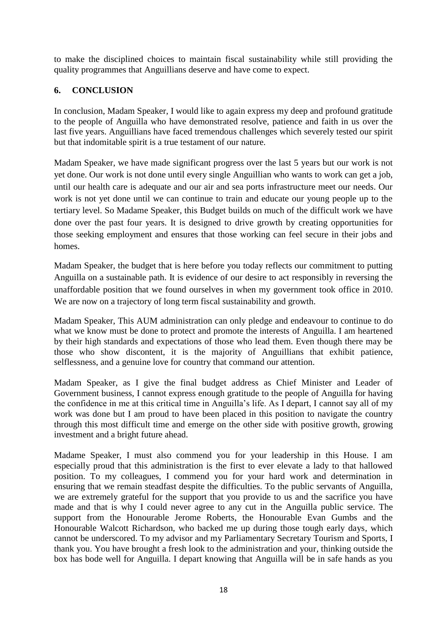to make the disciplined choices to maintain fiscal sustainability while still providing the quality programmes that Anguillians deserve and have come to expect.

#### **6. CONCLUSION**

In conclusion, Madam Speaker, I would like to again express my deep and profound gratitude to the people of Anguilla who have demonstrated resolve, patience and faith in us over the last five years. Anguillians have faced tremendous challenges which severely tested our spirit but that indomitable spirit is a true testament of our nature.

Madam Speaker, we have made significant progress over the last 5 years but our work is not yet done. Our work is not done until every single Anguillian who wants to work can get a job, until our health care is adequate and our air and sea ports infrastructure meet our needs. Our work is not yet done until we can continue to train and educate our young people up to the tertiary level. So Madame Speaker, this Budget builds on much of the difficult work we have done over the past four years. It is designed to drive growth by creating opportunities for those seeking employment and ensures that those working can feel secure in their jobs and homes.

Madam Speaker, the budget that is here before you today reflects our commitment to putting Anguilla on a sustainable path. It is evidence of our desire to act responsibly in reversing the unaffordable position that we found ourselves in when my government took office in 2010. We are now on a trajectory of long term fiscal sustainability and growth.

Madam Speaker, This AUM administration can only pledge and endeavour to continue to do what we know must be done to protect and promote the interests of Anguilla. I am heartened by their high standards and expectations of those who lead them. Even though there may be those who show discontent, it is the majority of Anguillians that exhibit patience, selflessness, and a genuine love for country that command our attention.

Madam Speaker, as I give the final budget address as Chief Minister and Leader of Government business, I cannot express enough gratitude to the people of Anguilla for having the confidence in me at this critical time in Anguilla's life. As I depart, I cannot say all of my work was done but I am proud to have been placed in this position to navigate the country through this most difficult time and emerge on the other side with positive growth, growing investment and a bright future ahead.

Madame Speaker, I must also commend you for your leadership in this House. I am especially proud that this administration is the first to ever elevate a lady to that hallowed position. To my colleagues, I commend you for your hard work and determination in ensuring that we remain steadfast despite the difficulties. To the public servants of Anguilla, we are extremely grateful for the support that you provide to us and the sacrifice you have made and that is why I could never agree to any cut in the Anguilla public service. The support from the Honourable Jerome Roberts, the Honourable Evan Gumbs and the Honourable Walcott Richardson, who backed me up during those tough early days, which cannot be underscored. To my advisor and my Parliamentary Secretary Tourism and Sports, I thank you. You have brought a fresh look to the administration and your, thinking outside the box has bode well for Anguilla. I depart knowing that Anguilla will be in safe hands as you